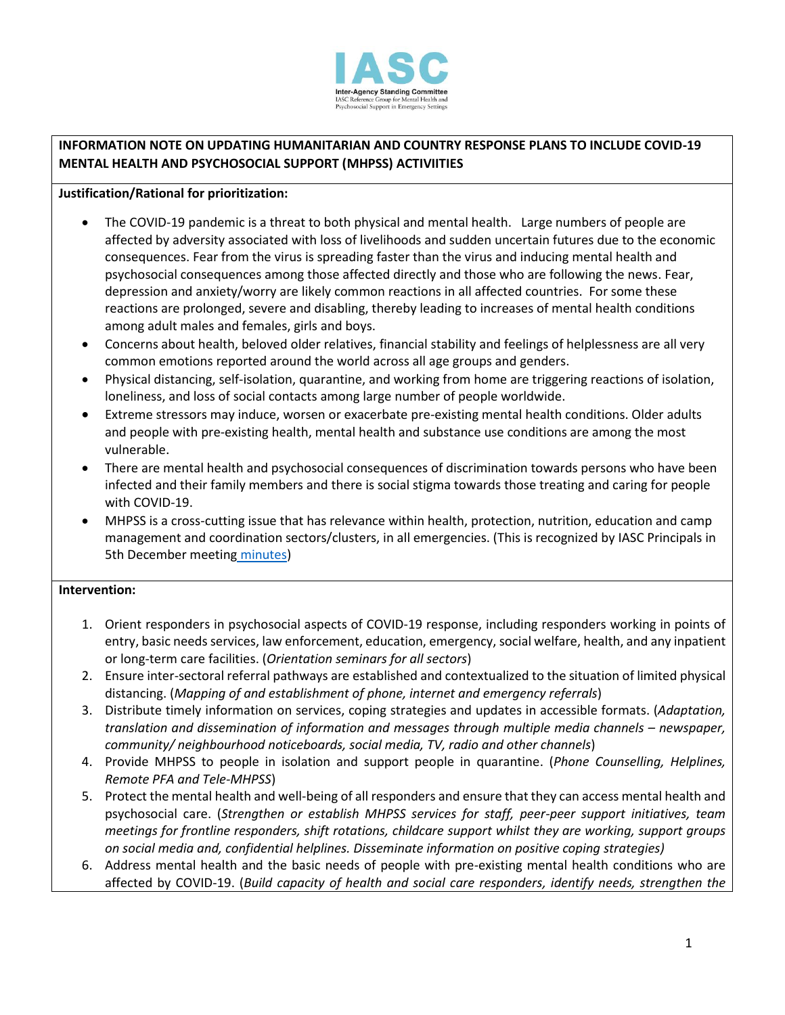

## **INFORMATION NOTE ON UPDATING HUMANITARIAN AND COUNTRY RESPONSE PLANS TO INCLUDE COVID-19 MENTAL HEALTH AND PSYCHOSOCIAL SUPPORT (MHPSS) ACTIVIITIES**

## **Justification/Rational for prioritization:**

- The COVID-19 pandemic is a threat to both physical and mental health. Large numbers of people are affected by adversity associated with loss of livelihoods and sudden uncertain futures due to the economic consequences. Fear from the virus is spreading faster than the virus and inducing mental health and psychosocial consequences among those affected directly and those who are following the news. Fear, depression and anxiety/worry are likely common reactions in all affected countries. For some these reactions are prolonged, severe and disabling, thereby leading to increases of mental health conditions among adult males and females, girls and boys.
- Concerns about health, beloved older relatives, financial stability and feelings of helplessness are all very common emotions reported around the world across all age groups and genders.
- Physical distancing, self-isolation, quarantine, and working from home are triggering reactions of isolation, loneliness, and loss of social contacts among large number of people worldwide.
- Extreme stressors may induce, worsen or exacerbate pre-existing mental health conditions. Older adults and people with pre-existing health, mental health and substance use conditions are among the most vulnerable.
- There are mental health and psychosocial consequences of discrimination towards persons who have been infected and their family members and there is social stigma towards those treating and caring for people with COVID-19.
- MHPSS is a cross-cutting issue that has relevance within health, protection, nutrition, education and camp management and coordination sectors/clusters, in all emergencies. (This is recognized by IASC Principals in 5th December meeting [minutes\)](https://interagencystandingcommittee.org/inter-agency-standing-committee/summary-record-iasc-principals-meeting-5-december-2019)

## **Intervention:**

- 1. Orient responders in psychosocial aspects of COVID-19 response, including responders working in points of entry, basic needs services, law enforcement, education, emergency, social welfare, health, and any inpatient or long-term care facilities. (*Orientation seminars for all sectors*)
- 2. Ensure inter-sectoral referral pathways are established and contextualized to the situation of limited physical distancing. (*Mapping of and establishment of phone, internet and emergency referrals*)
- 3. Distribute timely information on services, coping strategies and updates in accessible formats. (*Adaptation, translation and dissemination of information and messages through multiple media channels – newspaper, community/ neighbourhood noticeboards, social media, TV, radio and other channels*)
- 4. Provide MHPSS to people in isolation and support people in quarantine. (*Phone Counselling, Helplines, Remote PFA and Tele-MHPSS*)
- 5. Protect the mental health and well-being of all responders and ensure that they can access mental health and psychosocial care. (*Strengthen or establish MHPSS services for staff, peer-peer support initiatives, team meetings for frontline responders, shift rotations, childcare support whilst they are working, support groups on social media and, confidential helplines. Disseminate information on positive coping strategies)*
- 6. Address mental health and the basic needs of people with pre-existing mental health conditions who are affected by COVID-19. (*Build capacity of health and social care responders, identify needs, strengthen the*